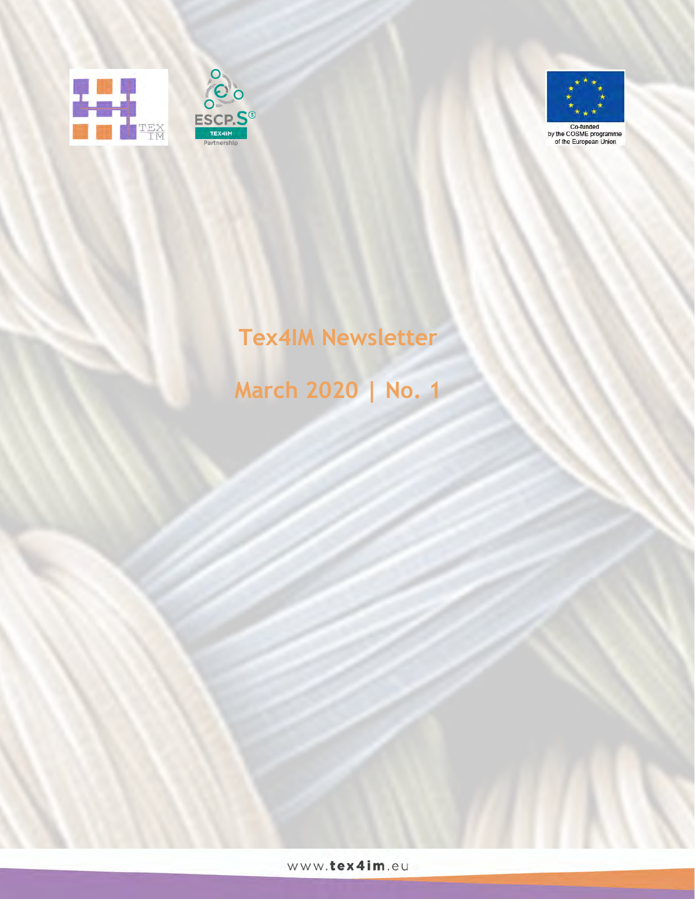





# **Tex4IM Newsletter**

# **March 2020 | No. 1**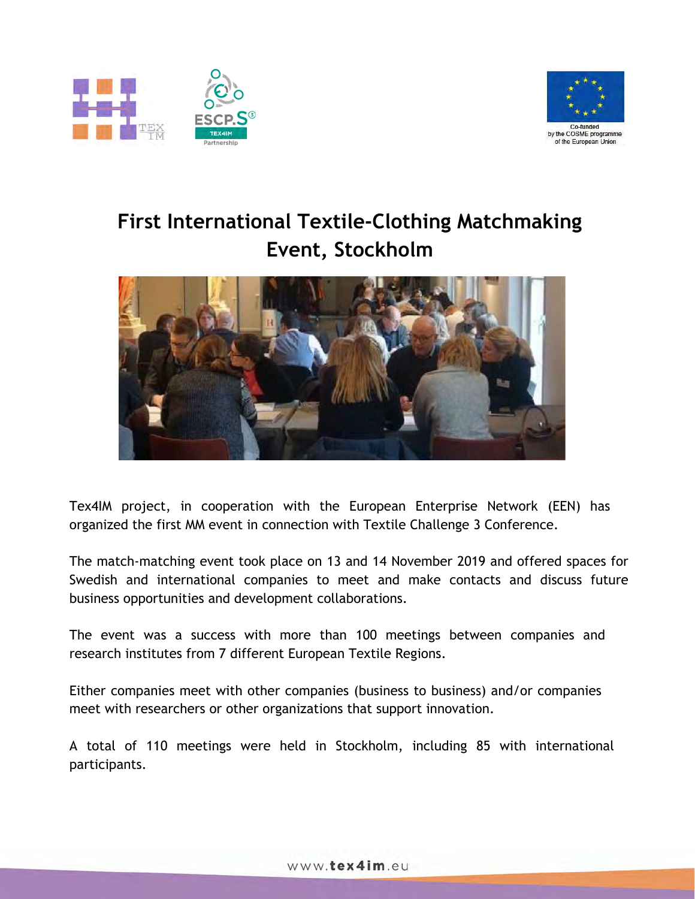



## **First International Textile-Clothing Matchmaking Event, Stockholm**



Tex4IM project, in cooperation with the European Enterprise Network (EEN) has organized the first MM event in connection with Textile Challenge 3 Conference.

The match-matching event took place on 13 and 14 November 2019 and offered spaces for Swedish and international companies to meet and make contacts and discuss future business opportunities and development collaborations.

The event was a success with more than 100 meetings between companies and research institutes from 7 different European Textile Regions.

Either companies meet with other companies (business to business) and/or companies meet with researchers or other organizations that support innovation.

A total of 110 meetings were held in Stockholm, including 85 with international participants.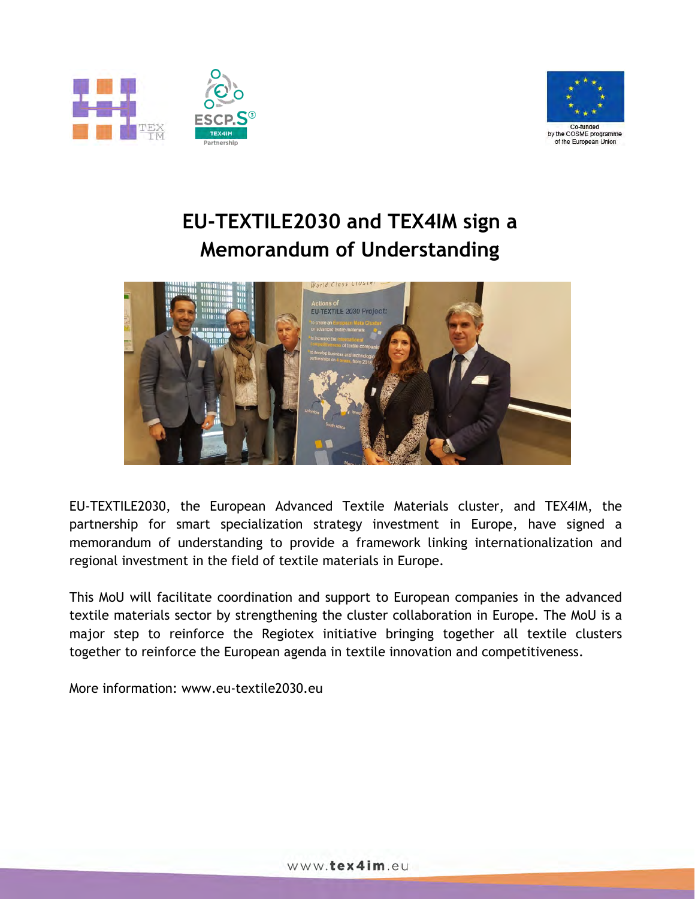



## **EU-TEXTILE2030 and TEX4IM sign a Memorandum of Understanding**



EU-TEXTILE2030, the European Advanced Textile Materials cluster, and TEX4IM, the partnership for smart specialization strategy investment in Europe, have signed a memorandum of understanding to provide a framework linking internationalization and regional investment in the field of textile materials in Europe.

This MoU will facilitate coordination and support to European companies in the advanced textile materials sector by strengthening the cluster collaboration in Europe. The MoU is a major step to reinforce the Regiotex initiative bringing together all textile clusters together to reinforce the European agenda in textile innovation and competitiveness.

More information: www.eu-textile2030.eu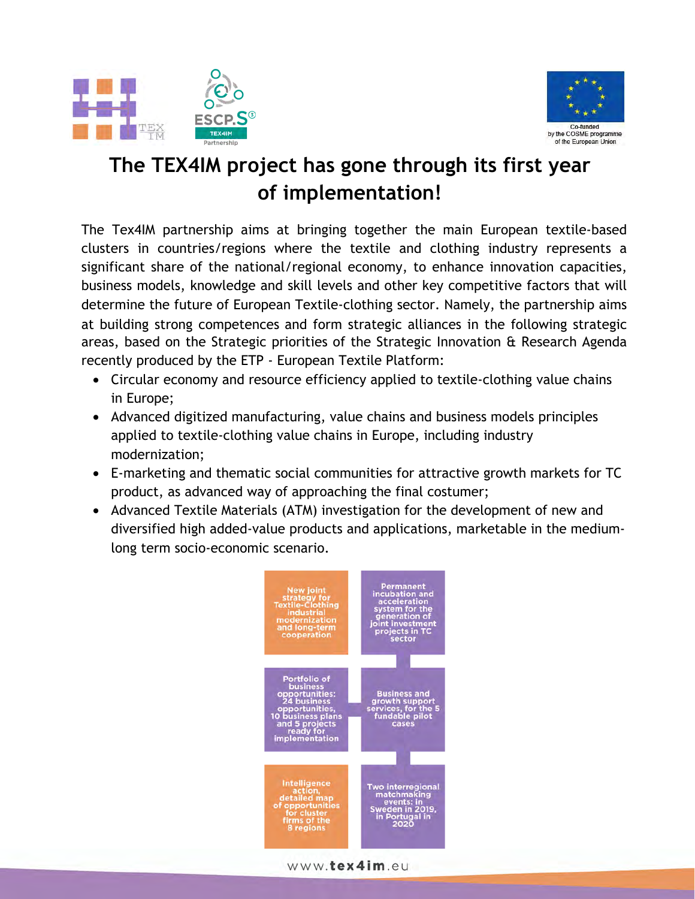



## **The TEX4IM project has gone through its first year of implementation!**

The Tex4IM partnership aims at bringing together the main European textile-based clusters in countries/regions where the textile and clothing industry represents a significant share of the national/regional economy, to enhance innovation capacities, business models, knowledge and skill levels and other key competitive factors that will determine the future of European Textile-clothing sector. Namely, the partnership aims at building strong competences and form strategic alliances in the following strategic areas, based on the Strategic priorities of the Strategic Innovation & Research Agenda recently produced by the ETP - European Textile Platform:

- Circular economy and resource efficiency applied to textile-clothing value chains in Europe;
- Advanced digitized manufacturing, value chains and business models principles applied to textile-clothing value chains in Europe, including industry modernization;
- E-marketing and thematic social communities for attractive growth markets for TC product, as advanced way of approaching the final costumer;
- Advanced Textile Materials (ATM) investigation for the development of new and diversified high added-value products and applications, marketable in the mediumlong term socio-economic scenario.

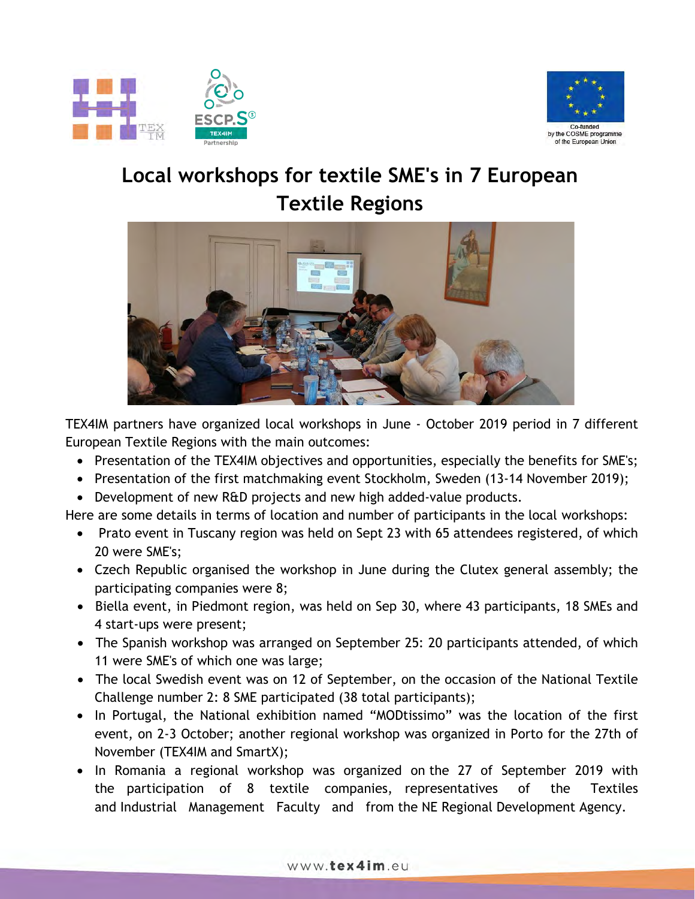



### **Local workshops for textile SME's in 7 European Textile Regions**



TEX4IM partners have organized local workshops in June - October 2019 period in 7 different European Textile Regions with the main outcomes:

- Presentation of the TEX4IM objectives and opportunities, especially the benefits for SME's;
- Presentation of the first matchmaking event Stockholm, Sweden (13-14 November 2019);
- Development of new R&D projects and new high added-value products.

Here are some details in terms of location and number of participants in the local workshops:

- Prato event in Tuscany region was held on Sept 23 with 65 attendees registered, of which 20 were SME's;
- Czech Republic organised the workshop in June during the Clutex general assembly; the participating companies were 8;
- Biella event, in Piedmont region, was held on Sep 30, where 43 participants, 18 SMEs and 4 start-ups were present;
- The Spanish workshop was arranged on September 25: 20 participants attended, of which 11 were SME's of which one was large;
- The local Swedish event was on 12 of September, on the occasion of the National Textile Challenge number 2: 8 SME participated (38 total participants);
- In Portugal, the National exhibition named "MODtissimo" was the location of the first event, on 2-3 October; another regional workshop was organized in Porto for the 27th of November (TEX4IM and SmartX);
- In Romania a regional workshop was organized on the 27 of September 2019 with the participation of 8 textile companies, representatives of the Textiles and Industrial Management Faculty and from the NE Regional Development Agency.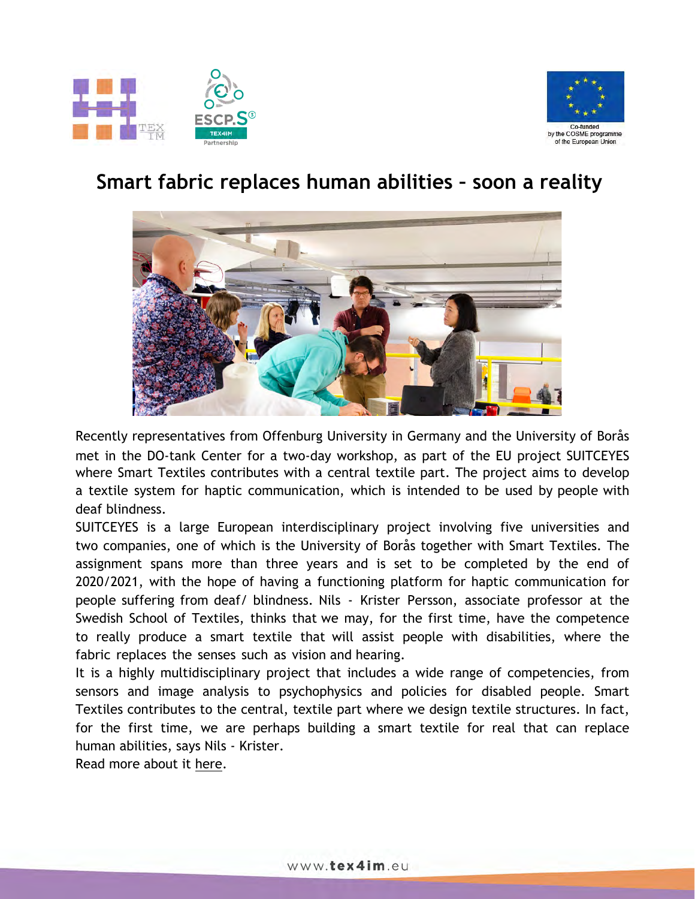



#### **Smart fabric replaces human abilities – soon a reality**



Recently representatives from Offenburg University in Germany and the University of Borås met in the DO-tank Center for a two-day workshop, as part of the EU project SUITCEYES where Smart Textiles contributes with a central textile part. The project aims to develop a textile system for haptic communication, which is intended to be used by people with deaf blindness.

SUITCEYES is a large European interdisciplinary project involving five universities and two companies, one of which is the University of Borås together with Smart Textiles. The assignment spans more than three years and is set to be completed by the end of 2020/2021, with the hope of having a functioning platform for haptic communication for people suffering from deaf/ blindness. Nils - Krister Persson, associate professor at the Swedish School of Textiles, thinks that we may, for the first time, have the competence to really produce a smart textile that will assist people with disabilities, where the fabric replaces the senses such as vision and hearing.

It is a highly multidisciplinary project that includes a wide range of competencies, from sensors and image analysis to psychophysics and policies for disabled people. Smart Textiles contributes to the central, textile part where we design textile structures. In fact, for the first time, we are perhaps building a smart textile for real that can replace human abilities, says Nils - Krister.

Read more about it [here.](https://smarttextiles.se/en/2020/02/20/smart-fabric-replaces-human-abilities/)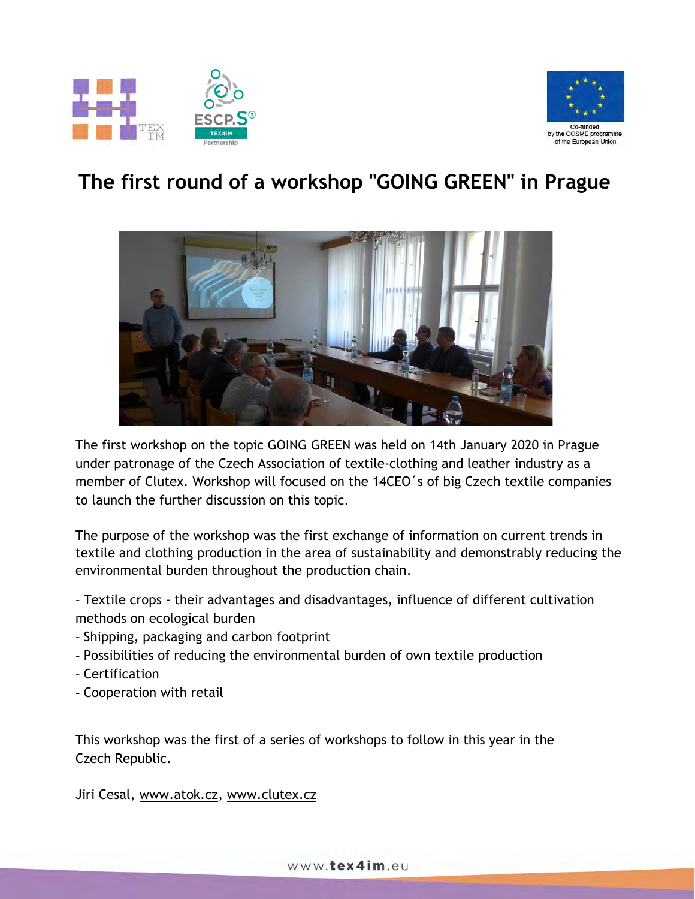



### **The first round of a workshop "GOING GREEN" in Prague**



The first workshop on the topic GOING GREEN was held on 14th January 2020 in Prague under patronage of the Czech Association of textile-clothing and leather industry as a member of Clutex. Workshop will focused on the 14CEO´s of big Czech textile companies to launch the further discussion on this topic.

The purpose of the workshop was the first exchange of information on current trends in textile and clothing production in the area of sustainability and demonstrably reducing the environmental burden throughout the production chain.

- Textile crops - their advantages and disadvantages, influence of different cultivation methods on ecological burden

- Shipping, packaging and carbon footprint
- Possibilities of reducing the environmental burden of own textile production
- Certification
- Cooperation with retail

This workshop was the first of a series of workshops to follow in this year in the Czech Republic.

Jiri Cesal, [www.atok.cz](http://www.atok.cz/), [www.clutex.cz](http://www.clutex.cz/)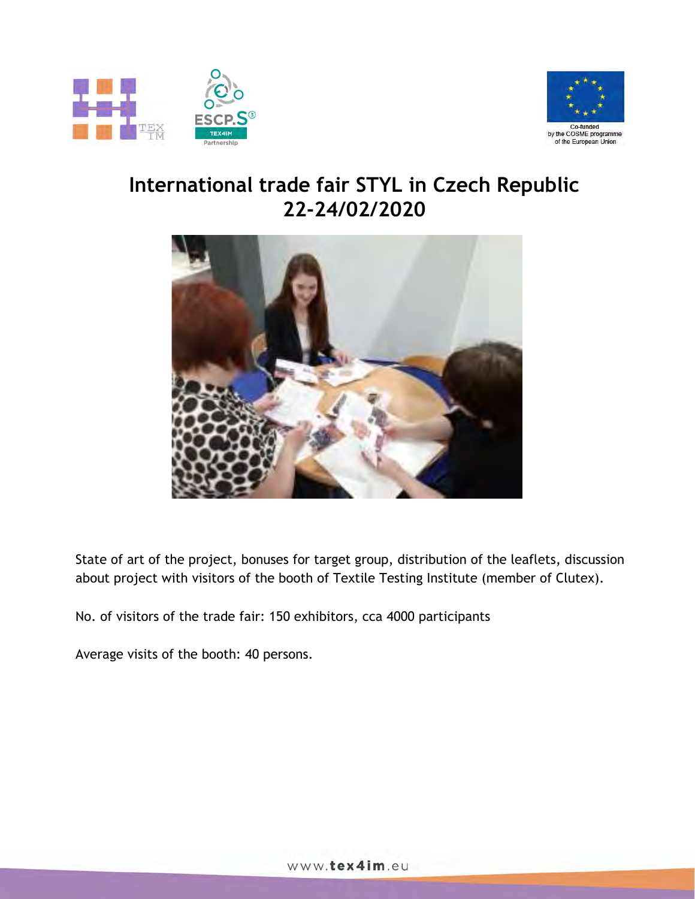



#### **International trade fair STYL in Czech Republic 22-24/02/2020**



State of art of the project, bonuses for target group, distribution of the leaflets, discussion about project with visitors of the booth of Textile Testing Institute (member of Clutex).

No. of visitors of the trade fair: 150 exhibitors, cca 4000 participants

Average visits of the booth: 40 persons.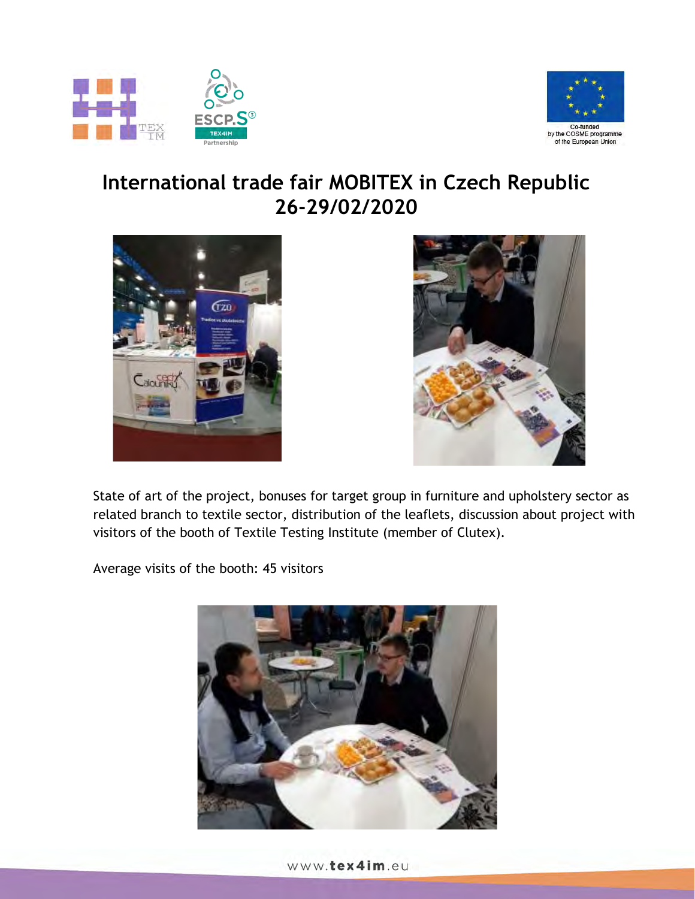



#### **International trade fair MOBITEX in Czech Republic 26-29/02/2020**





State of art of the project, bonuses for target group in furniture and upholstery sector as related branch to textile sector, distribution of the leaflets, discussion about project with visitors of the booth of Textile Testing Institute (member of Clutex).

Average visits of the booth: 45 visitors

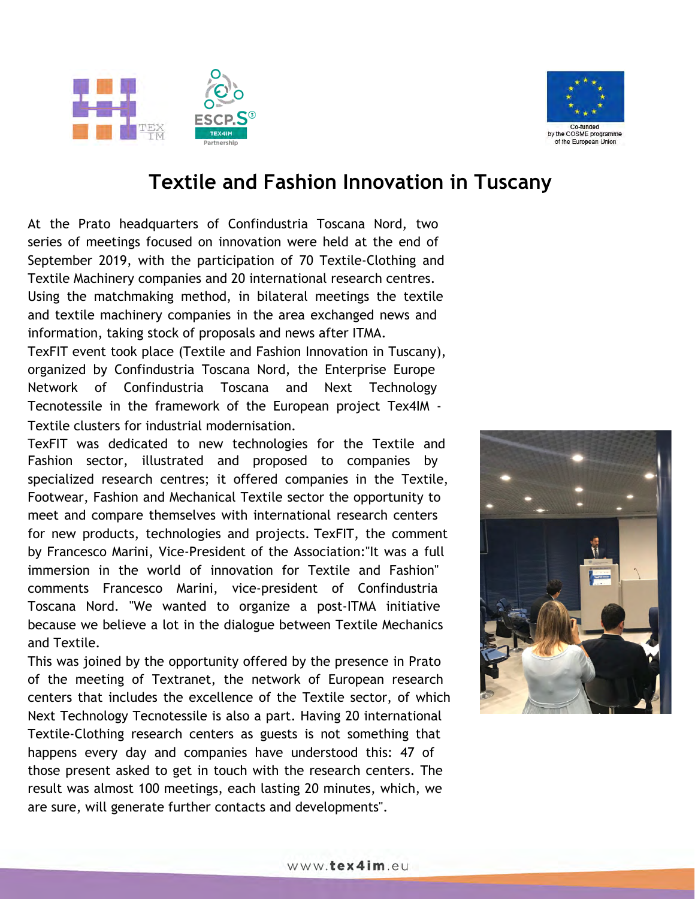



#### **Textile and Fashion Innovation in Tuscany**

At the Prato headquarters of Confindustria Toscana Nord, two series of meetings focused on innovation were held at the end of September 2019, with the participation of 70 Textile-Clothing and Textile Machinery companies and 20 international research centres. Using the matchmaking method, in bilateral meetings the textile and textile machinery companies in the area exchanged news and information, taking stock of proposals and news after ITMA.

TexFIT event took place (Textile and Fashion Innovation in Tuscany), organized by Confindustria Toscana Nord, the Enterprise Europe Network of Confindustria Toscana and Next Technology Tecnotessile in the framework of the European project Tex4IM - Textile clusters for industrial modernisation.

TexFIT was dedicated to new technologies for the Textile and Fashion sector, illustrated and proposed to companies by specialized research centres; it offered companies in the Textile, Footwear, Fashion and Mechanical Textile sector the opportunity to meet and compare themselves with international research centers for new products, technologies and projects. TexFIT, the comment by Francesco Marini, Vice-President of the Association:"It was a full immersion in the world of innovation for Textile and Fashion" comments Francesco Marini, vice-president of Confindustria Toscana Nord. "We wanted to organize a post-ITMA initiative because we believe a lot in the dialogue between Textile Mechanics and Textile.

This was joined by the opportunity offered by the presence in Prato of the meeting of Textranet, the network of European research centers that includes the excellence of the Textile sector, of which Next Technology Tecnotessile is also a part. Having 20 international Textile-Clothing research centers as guests is not something that happens every day and companies have understood this: 47 of those present asked to get in touch with the research centers. The result was almost 100 meetings, each lasting 20 minutes, which, we are sure, will generate further contacts and developments".

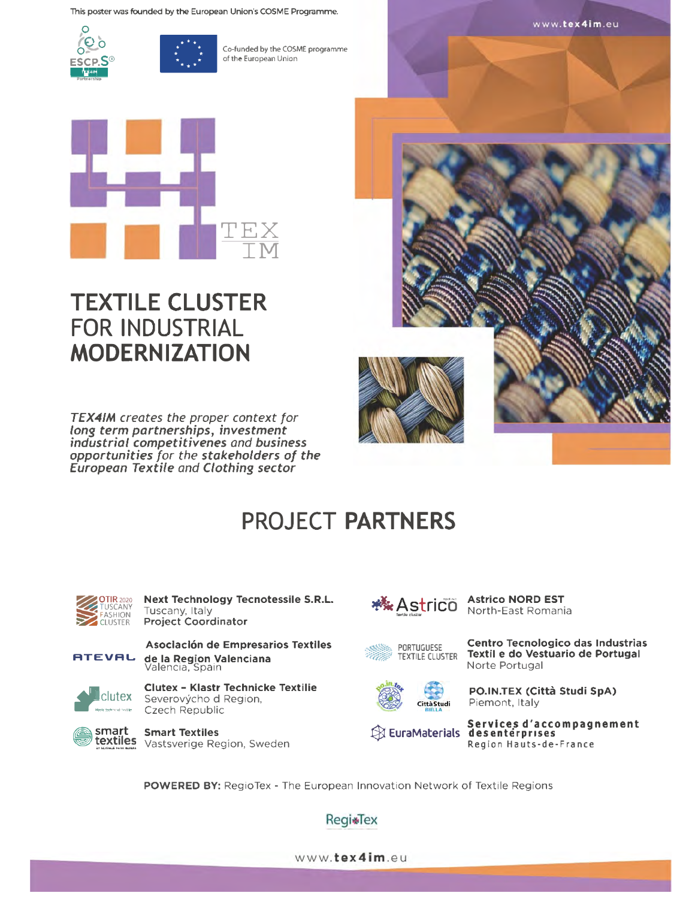This poster was founded by the European Union's COSME Programme.





Co-funded by the COSME programme of the European Union



### **TEXTILE CLUSTER FOR INDUSTRIAL MODERNIZATION**

TEX4IM creates the proper context for long term partnerships, investment industrial competitivenes and business opportunities for the stakeholders of the European Textile and Clothing sector



# **PROJECT PARTNERS**



Next Technology Tecnotessile S.R.L. Tuscany, Italy **Project Coordinator** 



Asociación de Empresarios Textiles de la Region Valenciana Valencia, Spain



Clutex - Klastr Technicke Textilie clutex Severovýcho d Region, Czech Republic



**Smart Textiles** textiles Vastsverige Region, Sweden



Norte Portugal





PO.IN.TEX (Città Studi SpA) Piemont, Italy

Centro Tecnologico das Industrias

Textil e do Vestuario de Portugal

 $\boxtimes$  EuraMaterials

Services d'accompagnement<br>desentérprises Region Hauts-de-France

POWERED BY: RegioTex - The European Innovation Network of Textile Regions

**RegisTex** 

www.tex4im.eu